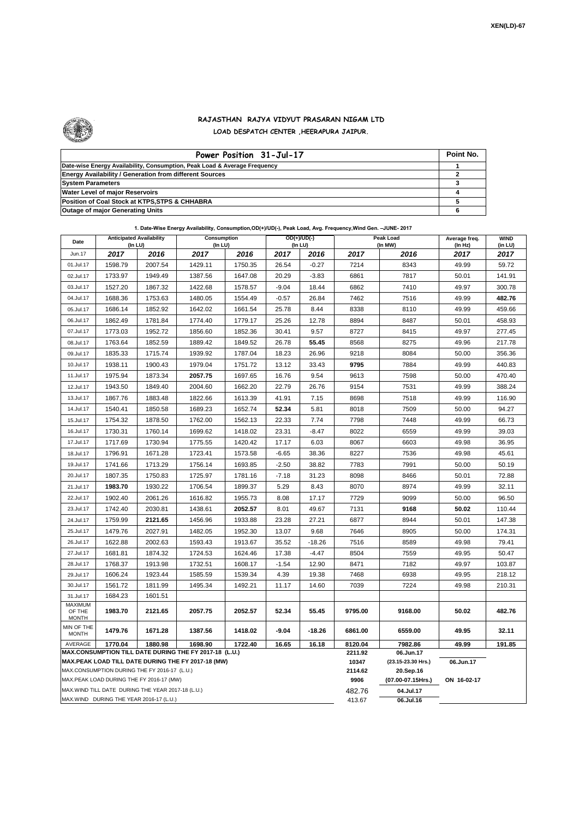

## **RAJASTHAN RAJYA VIDYUT PRASARAN NIGAM LTD LOAD DESPATCH CENTER ,HEERAPURA JAIPUR.**

| Power Position 31-Jul-17                                                  | Point No. |
|---------------------------------------------------------------------------|-----------|
| Date-wise Energy Availability, Consumption, Peak Load & Average Frequency |           |
| <b>Energy Availability / Generation from different Sources</b>            |           |
| <b>System Parameters</b>                                                  |           |
| <b>Water Level of major Reservoirs</b>                                    |           |
| Position of Coal Stock at KTPS, STPS & CHHABRA                            |           |
| <b>Outage of major Generating Units</b>                                   |           |

| 1. Date-Wise Energy Availability, Consumption, OD(+)/UD(-), Peak Load, Avg. Frequency, Wind Gen. - JUNE- 2017 |                                                                                                                      |         |                                                    |         |                                |             |                  |                                 |                          |                        |  |
|---------------------------------------------------------------------------------------------------------------|----------------------------------------------------------------------------------------------------------------------|---------|----------------------------------------------------|---------|--------------------------------|-------------|------------------|---------------------------------|--------------------------|------------------------|--|
| Date                                                                                                          | <b>Anticipated Availability</b><br>(In LU)                                                                           |         | Consumption<br>(In LU)                             |         | $OD(+)/UD(-)$<br>$($ In LU $)$ |             |                  | Peak Load<br>(In MW)            | Average freq.<br>(In Hz) | <b>WIND</b><br>(in LU) |  |
| Jun.17                                                                                                        | 2017                                                                                                                 | 2016    | 2017                                               | 2016    | 2017                           | 2016        | 2017             | 2016                            | 2017                     | 2017                   |  |
| 01.Jul.17                                                                                                     | 1598.79                                                                                                              | 2007.54 | 1429.11                                            | 1750.35 | 26.54                          | $-0.27$     | 7214             | 8343                            | 49.99                    | 59.72                  |  |
| 02.Jul.17                                                                                                     | 1733.97                                                                                                              | 1949.49 | 1387.56                                            | 1647.08 | 20.29                          | $-3.83$     | 6861             | 7817                            | 50.01                    | 141.91                 |  |
| 03.Jul.17                                                                                                     | 1527.20                                                                                                              | 1867.32 | 1422.68                                            | 1578.57 | $-9.04$                        | 18.44       | 6862             | 7410                            | 49.97                    | 300.78                 |  |
| 04.Jul.17                                                                                                     | 1688.36                                                                                                              | 1753.63 | 1480.05                                            | 1554.49 | $-0.57$                        | 26.84       | 7462             | 7516                            | 49.99                    | 482.76                 |  |
| 05.Jul.17                                                                                                     | 1686.14                                                                                                              | 1852.92 | 1642.02                                            | 1661.54 | 25.78                          | 8.44        | 8338             | 8110                            | 49.99                    | 459.66                 |  |
| 06.Jul.17                                                                                                     | 1862.49                                                                                                              | 1781.84 | 1774.40                                            | 1779.17 | 25.26                          | 12.78       | 8894             | 8487                            | 50.01                    | 458.93                 |  |
| 07.Jul.17                                                                                                     | 1773.03                                                                                                              | 1952.72 | 1856.60                                            | 1852.36 | 30.41                          | 9.57        | 8727             | 8415                            | 49.97                    | 277.45                 |  |
| 08.Jul.17                                                                                                     | 1763.64                                                                                                              | 1852.59 | 1889.42                                            | 1849.52 | 26.78                          | 55.45       | 8568             | 8275                            | 49.96                    | 217.78                 |  |
| 09.Jul.17                                                                                                     | 1835.33                                                                                                              | 1715.74 | 1939.92                                            | 1787.04 | 18.23                          | 26.96       | 9218             | 8084                            | 50.00                    | 356.36                 |  |
| 10.Jul.17                                                                                                     | 1938.11                                                                                                              | 1900.43 | 1979.04                                            | 1751.72 | 13.12                          | 33.43       | 9795             | 7884                            | 49.99                    | 440.83                 |  |
| 11.Jul.17                                                                                                     | 1975.94                                                                                                              | 1873.34 | 2057.75                                            | 1697.65 | 16.76                          | 9.54        | 9613             | 7598                            | 50.00                    | 470.40                 |  |
| 12.Jul.17                                                                                                     | 1943.50                                                                                                              | 1849.40 | 2004.60                                            | 1662.20 | 22.79                          | 26.76       | 9154             | 7531                            | 49.99                    | 388.24                 |  |
| 13.Jul.17                                                                                                     | 1867.76                                                                                                              | 1883.48 | 1822.66                                            | 1613.39 | 41.91                          | 7.15        | 8698             | 7518                            | 49.99                    | 116.90                 |  |
| 14.Jul.17                                                                                                     | 1540.41                                                                                                              | 1850.58 | 1689.23                                            | 1652.74 | 52.34                          | 5.81        | 8018             | 7509                            | 50.00                    | 94.27                  |  |
| 15.Jul.17                                                                                                     | 1754.32                                                                                                              | 1878.50 | 1762.00                                            | 1562.13 | 22.33                          | 7.74        | 7798             | 7448                            | 49.99                    | 66.73                  |  |
| 16.Jul.17                                                                                                     | 1730.31                                                                                                              | 1760.14 | 1699.62                                            | 1418.02 | 23.31                          | $-8.47$     | 8022             | 6559                            | 49.99                    | 39.03                  |  |
| 17.Jul.17                                                                                                     | 1717.69                                                                                                              | 1730.94 | 1775.55                                            | 1420.42 | 17.17                          | 6.03        | 8067             | 6603                            | 49.98                    | 36.95                  |  |
| 18.Jul.17                                                                                                     | 1796.91                                                                                                              | 1671.28 | 1723.41                                            | 1573.58 | $-6.65$                        | 38.36       | 8227             | 7536                            | 49.98                    | 45.61                  |  |
| 19.Jul.17                                                                                                     | 1741.66                                                                                                              | 1713.29 | 1756.14                                            | 1693.85 | $-2.50$                        | 38.82       | 7783             | 7991                            | 50.00                    | 50.19                  |  |
| 20.Jul.17                                                                                                     | 1807.35                                                                                                              | 1750.83 | 1725.97                                            | 1781.16 | -7.18                          | 31.23       | 8098             | 8466                            | 50.01                    | 72.88                  |  |
| 21.Jul.17                                                                                                     | 1983.70                                                                                                              | 1930.22 | 1706.54                                            | 1899.37 | 5.29                           | 8.43        | 8070             | 8974                            | 49.99                    | 32.11                  |  |
| 22.Jul.17                                                                                                     | 1902.40                                                                                                              | 2061.26 | 1616.82                                            | 1955.73 | 8.08                           | 17.17       | 7729             | 9099                            | 50.00                    | 96.50                  |  |
| 23.Jul.17                                                                                                     | 1742.40                                                                                                              | 2030.81 | 1438.61                                            | 2052.57 | 8.01                           | 49.67       | 7131             | 9168                            | 50.02                    | 110.44                 |  |
| 24.Jul.17                                                                                                     | 1759.99                                                                                                              | 2121.65 | 1456.96                                            | 1933.88 | 23.28                          | 27.21       | 6877             | 8944                            | 50.01                    | 147.38                 |  |
| 25.Jul.17                                                                                                     | 1479.76                                                                                                              | 2027.91 | 1482.05                                            | 1952.30 | 13.07                          | 9.68        | 7646             | 8905                            | 50.00                    | 174.31                 |  |
| 26.Jul.17                                                                                                     | 1622.88                                                                                                              | 2002.63 | 1593.43                                            | 1913.67 | 35.52                          | $-18.26$    | 7516             | 8589                            | 49.98                    | 79.41                  |  |
| 27.Jul.17                                                                                                     | 1681.81                                                                                                              | 1874.32 | 1724.53                                            | 1624.46 | 17.38                          | $-4.47$     | 8504             | 7559                            | 49.95                    | 50.47                  |  |
| 28.Jul.17                                                                                                     | 1768.37                                                                                                              | 1913.98 | 1732.51                                            | 1608.17 | $-1.54$                        | 12.90       | 8471             | 7182                            | 49.97                    | 103.87                 |  |
| 29.Jul.17                                                                                                     | 1606.24                                                                                                              | 1923.44 | 1585.59                                            | 1539.34 | 4.39                           | 19.38       | 7468             | 6938                            | 49.95                    | 218.12                 |  |
| 30.Jul.17                                                                                                     | 1561.72                                                                                                              | 1811.99 | 1495.34                                            | 1492.21 | 11.17                          | 14.60       | 7039             | 7224                            | 49.98                    | 210.31                 |  |
| 31.Jul.17                                                                                                     | 1684.23                                                                                                              | 1601.51 |                                                    |         |                                |             |                  |                                 |                          |                        |  |
| MAXIMUM<br>OF THE<br><b>MONTH</b>                                                                             | 1983.70                                                                                                              | 2121.65 | 2057.75                                            | 2052.57 | 52.34                          | 55.45       | 9795.00          | 9168.00                         | 50.02                    | 482.76                 |  |
| MIN OF THE<br><b>MONTH</b>                                                                                    | 1479.76                                                                                                              | 1671.28 | 1387.56                                            | 1418.02 | -9.04                          | $-18.26$    | 6861.00          | 6559.00                         | 49.95                    | 32.11                  |  |
| AVERAGE                                                                                                       | 1880.98<br>16.65<br>16.18<br>1770.04<br>1698.90<br>1722.40<br>MAX.CONSUMPTION TILL DATE DURING THE FY 2017-18 (L.U.) |         |                                                    |         |                                |             | 8120.04          | 7982.86                         | 49.99                    | 191.85                 |  |
|                                                                                                               |                                                                                                                      |         | MAX.PEAK LOAD TILL DATE DURING THE FY 2017-18 (MW) |         |                                |             | 2211.92<br>10347 | 06.Jun.17                       | 06.Jun.17                |                        |  |
|                                                                                                               | MAX.CONSUMPTION DURING THE FY 2016-17 (L.U.)                                                                         |         |                                                    |         |                                |             | 2114.62          | (23.15-23.30 Hrs.)<br>20.Sep.16 |                          |                        |  |
|                                                                                                               | MAX.PEAK LOAD DURING THE FY 2016-17 (MW)                                                                             |         |                                                    | 9906    | (07.00-07.15Hrs.)              | ON 16-02-17 |                  |                                 |                          |                        |  |

MAX.WIND TILL DATE DURING THE YEAR 2017-18 (L.U.)

MAX.WIND DURING THE YEAR 2016-17 (L.U.)

482.76 **04.Jul.17**

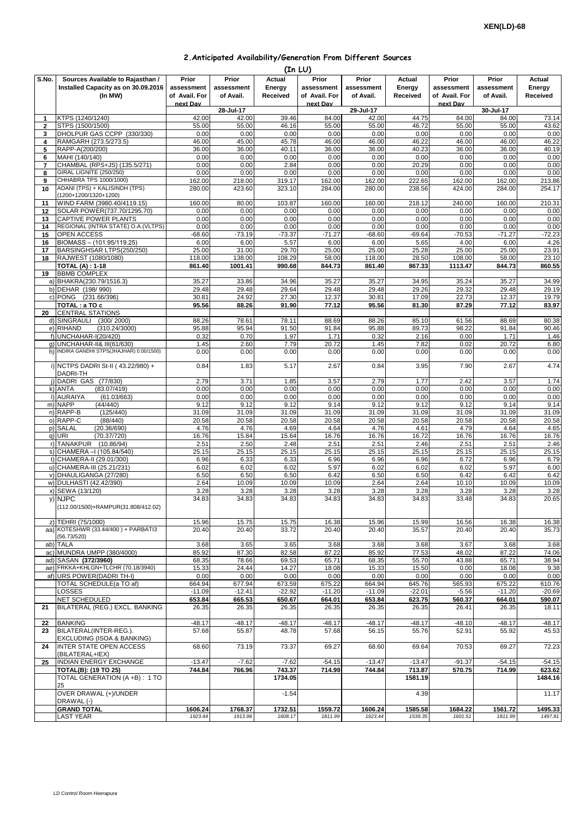|  | 2. Anticipated Availability/Generation From Different Sources |  |  |  |
|--|---------------------------------------------------------------|--|--|--|
|--|---------------------------------------------------------------|--|--|--|

|              | (In LU)                                                |                   |                   |                   |                   |                 |                   |                   |                   |                   |  |  |
|--------------|--------------------------------------------------------|-------------------|-------------------|-------------------|-------------------|-----------------|-------------------|-------------------|-------------------|-------------------|--|--|
| S.No.        | Sources Available to Rajasthan /                       | Prior             | Prior             | Actual            | Prior             | Prior           | Actual            | Prior             | Prior             | Actual            |  |  |
|              | Installed Capacity as on 30.09.2016                    | assessment        | assessment        | Energy            | assessment        | assessment      | Energy            | assessment        | assessment        | Energy            |  |  |
|              | (In MW)                                                | of Avail. For     | of Avail.         | Received          | of Avail. For     | of Avail.       | Received          | of Avail. For     | of Avail.         | Received          |  |  |
|              |                                                        | next Dav          | 28-Jul-17         |                   | next Dav          | 29-Jul-17       |                   | next Dav          | 30-Jul-17         |                   |  |  |
| 1            | KTPS (1240/1240)                                       | 42.00             | 42.00             | 39.46             | 84.00             | 42.00           | 44.75             | 84.00             | 84.00             | 73.14             |  |  |
| $\mathbf{2}$ | STPS (1500/1500)                                       | 55.00             | 55.00             | 46.16             | 55.00             | 55.00           | 46.72             | 55.00             | 55.00             | 43.62             |  |  |
| 3            | DHOLPUR GAS CCPP (330/330)                             | 0.00              | 0.00              | 0.00              | 0.00              | 0.00            | 0.00              | 0.00              | 0.00              | 0.00              |  |  |
| 4            | RAMGARH (273.5/273.5)                                  | 46.00             | 45.00             | 45.78             | 46.00             | 46.00           | 46.22             | 46.00             | 46.00             | 46.22             |  |  |
| 5            | RAPP-A(200/200)                                        | 36.00<br>0.00     | 36.00             | 40.11             | 36.00             | 36.00           | 40.23             | 36.00             | 36.00             | 40.19             |  |  |
| 6<br>7       | MAHI (140/140)<br>CHAMBAL (RPS+JS) (135.5/271)         | 0.00              | 0.00<br>0.00      | 0.00<br>2.84      | 0.00<br>0.00      | 0.00<br>0.00    | 0.00<br>20.29     | 0.00<br>0.00      | 0.00<br>0.00      | 0.00<br>0.00      |  |  |
| 8            | GIRAL LIGNITE (250/250)                                | 0.00              | 0.00              | 0.00              | 0.00              | 0.00            | 0.00              | 0.00              | 0.00              | 0.00              |  |  |
| 9            | CHHABRA TPS 1000/1000)                                 | 162.00            | 218.00            | 319.17            | 162.00            | 162.00          | 222.65            | 162.00            | 162.00            | 213.86            |  |  |
| 10           | ADANI (TPS) + KALISINDH (TPS)<br>(1200+1200/1320+1200) | 280.00            | 423.60            | 323.10            | 284.00            | 280.00          | 238.56            | 424.00            | 284.00            | 254.17            |  |  |
| 11           | WIND FARM (3980.40/4119.15)                            | 160.00            | 80.00             | 103.87            | 160.00            | 160.00          | 218.12            | 240.00            | 160.00            | 210.31            |  |  |
| 12<br>13     | SOLAR POWER(737.70/1295.70)<br>CAPTIVE POWER PLANTS    | 0.00<br>0.00      | 0.00<br>0.00      | 0.00<br>0.00      | 0.00<br>0.00      | 0.00<br>0.00    | 0.00<br>0.00      | 0.00<br>0.00      | 0.00<br>0.00      | 0.00<br>0.00      |  |  |
| 14           | REGIONAL (INTRA STATE) O.A. (VLTPS)                    | 0.00              | 0.00              | 0.00              | 0.00              | 0.00            | 0.00              | 0.00              | 0.00              | 0.00              |  |  |
| 15           | OPEN ACCESS                                            | $-68.60$          | $-73.19$          | $-73.37$          | $-71.27$          | $-68.60$        | $-69.64$          | $-70.53$          | $-71.27$          | $-72.23$          |  |  |
| 16           | BIOMASS - (101.95/119.25)                              | 6.00              | 6.00              | 5.57              | 6.00              | 6.00            | 5.65              | 4.00              | 6.00              | 4.26              |  |  |
| 17           | BARSINGHSAR LTPS(250/250)                              | 25.00             | 31.00             | 29.70             | 25.00             | 25.00           | 25.28             | 25.00             | 25.00             | 23.91             |  |  |
| 18           | RAJWEST (1080/1080)                                    | 118.00            | 138.00            | 108.29            | 58.00             | 118.00          | 28.50             | 108.00            | 58.00             | 23.10             |  |  |
|              | <b>TOTAL (A): 1-18</b><br><b>BBMB COMPLEX</b>          | 861.40            | 1001.41           | 990.68            | 844.73            | 861.40          | 867.33            | 1113.47           | 844.73            | 860.55            |  |  |
| 19           | a) BHAKRA(230.79/1516.3)                               | 35.27             | 33.86             | 34.96             | 35.27             | 35.27           | 34.95             | 35.24             | 35.27             | 34.99             |  |  |
|              | b) DEHAR (198/990)                                     | 29.48             | 29.48             | 29.64             | 29.48             | 29.48           | 29.26             | 29.32             | 29.48             | 29.19             |  |  |
|              | c) PONG (231.66/396)                                   | 30.81             | 24.92             | 27.30             | 12.37             | 30.81           | 17.09             | 22.73             | 12.37             | 19.79             |  |  |
|              | TOTAL : a TO c                                         | 95.56             | 88.26             | 91.90             | 77.12             | 95.56           | 81.30             | 87.29             | 77.12             | 83.97             |  |  |
| 20           | <b>CENTRAL STATIONS</b>                                |                   |                   |                   |                   |                 |                   |                   |                   |                   |  |  |
|              | d) SINGRAULI<br>(300/2000)                             | 88.26             | 78.61             | 78.11             | 88.69             | 88.26           | 85.10             | 61.56             | 88.69             | 80.38             |  |  |
|              | e) RIHAND<br>(310.24/3000)                             | 95.88             | 95.94             | 91.50             | 91.84             | 95.88           | 89.73             | 98.22             | 91.84             | 90.46             |  |  |
|              | f) UNCHAHAR-I(20/420)<br>q) UNCHAHAR-II& III(61/630)   | 0.32              | 0.70              | 1.97<br>7.79      | 1.71<br>20.72     | 0.32<br>1.45    | 2.16<br>7.82      | 0.00<br>0.02      | 1.71<br>20.72     | 1.46              |  |  |
|              | h) INDIRA GANDHI STPS(JHAJHAR) 0.00/1500)              | 1.45<br>0.00      | 2.60<br>0.00      | 0.00              | 0.00              | 0.00            | 0.00              | 0.00              | 0.00              | 6.80<br>0.00      |  |  |
|              | i) NCTPS DADRI St-II (43.22/980) +<br>DADRI-TH         | 0.84              | 1.83              | 5.17              | 2.67              | 0.84            | 3.95              | 7.90              | 2.67              | 4.74              |  |  |
|              | j) DADRI GAS (77/830)                                  | 2.79              | 3.71              | 1.85              | 3.57              | 2.79            | 1.77              | 2.42              | 3.57              | 1.74              |  |  |
|              | k) ANTA<br>(83.07/419)                                 | 0.00              | 0.00              | 0.00              | 0.00              | 0.00            | 0.00              | 0.00              | 0.00              | 0.00              |  |  |
|              | I) AURAIYA<br>(61.03/663)                              | 0.00              | 0.00              | 0.00              | 0.00              | 0.00            | 0.00              | 0.00              | 0.00              | 0.00              |  |  |
|              | m) NAPP<br>(44/440)                                    | 9.12              | 9.12              | 9.12              | 9.14              | 9.12            | 9.12              | 9.12              | 9.14              | 9.14              |  |  |
|              | n) RAPP-B<br>(125/440)                                 | 31.09             | 31.09             | 31.09             | 31.09             | 31.09           | 31.09             | 31.09             | 31.09             | 31.09             |  |  |
|              | o) RAPP-C<br>(88/440)                                  | 20.58             | 20.58             | 20.58             | 20.58             | 20.58           | 20.58             | 20.58             | 20.58             | 20.58             |  |  |
| p)           | <b>SALAL</b><br>(20.36/690)<br>q) URI<br>(70.37/720)   | 4.76<br>16.76     | 4.76<br>15.84     | 4.69<br>15.64     | 4.64<br>16.76     | 4.76<br>16.76   | 4.61<br>16.72     | 4.79<br>16.76     | 4.64<br>16.76     | 4.65<br>16.76     |  |  |
|              | r) TANAKPUR<br>(10.86/94)                              | 2.51              | 2.50              | 2.48              | 2.51              | 2.51            | 2.46              | 2.51              | 2.51              | 2.46              |  |  |
|              | s) CHAMERA - (105.84/540)                              | 25.15             | 25.15             | 25.15             | 25.15             | 25.15           | 25.15             | 25.15             | 25.15             | 25.15             |  |  |
|              | t) CHAMERA-II (29.01/300)                              | 6.96              | 6.33              | 6.33              | 6.96              | 6.96            | 6.96              | 6.72              | 6.96              | 6.79              |  |  |
|              | u) CHAMERA-III (25.21/231)                             | 6.02              | 6.02              | 6.02              | 5.97              | 6.02            | 6.02              | 6.02              | 5.97              | 6.00              |  |  |
|              | v) DHAULIGANGA (27/280)                                | 6.50              | 6.50              | 6.50              | 6.42              | 6.50            | 6.50              | 6.42              | 6.42              | 6.42              |  |  |
|              | w) DULHASTI (42.42/390)                                | 2.64              | 10.09             | 10.09             | 10.09             | 2.64            | 2.64              | 10.10             | 10.09             | 10.09             |  |  |
|              | x) SEWA (13/120)                                       | 3.28              | 3.28              | 3.28              | 3.28              | 3.28            | 3.28              | 3.28              | 3.28              | 3.28              |  |  |
|              | y) NJPC<br>(112.00/1500)+RAMPUR(31.808/412.02)         | 34.83             | 34.83             | 34.83             | 34.83             | 34.83           | 34.83             | 33.48             | 34.83             | 20.65             |  |  |
|              | z) TEHRI (75/1000)                                     | 15.96             | 15.75             | 15.75             | 16.38             | 15.96           | 15.99             | 16.56             | 16.38             | 16.38             |  |  |
|              | aa) KOTESHWR (33.44/400) + PARBATI3                    | 20.40             | 20.40             | 33.72             | 20.40             | 20.40           | 35.57             | 20.40             | 20.40             | 35.73             |  |  |
|              | (56.73/520)<br>ab) TALA                                | 3.68              | 3.65              | 3.65              | 3.68              | 3.68            | 3.68              | 3.67              | 3.68              | 3.68              |  |  |
|              | ac) MUNDRA UMPP (380/4000)                             | 85.92             | 87.30             | 82.58             | 87.22             | 85.92           | 77.53             | 48.02             | 87.22             | 74.06             |  |  |
|              | ad) SASAN (372/3960)                                   | 68.35             | 78.66             | 69.53             | 65.71             | 68.35           | 55.70             | 43.88             | 65.71             | 38.94             |  |  |
|              | ae) FRKKA+KHLGN+TLCHR (70.18/3940)                     | 15.33             | 24.44             | 14.27             | 18.08             | 15.33           | 15.50             | 0.00              | 18.08             | 9.38              |  |  |
|              | af) URS POWER(DADRI TH-I)                              | 0.00              | 0.00              | 0.00              | 0.00              | 0.00            | 0.00              | 0.00              | 0.00              | 0.00              |  |  |
|              | TOTAL SCHEDULE(a TO af)                                | 664.94            | 677.94            | 673.59            | 675.22            | 664.94          | 645.76            | 565.93            | 675.22            | 610.76            |  |  |
|              | LOSSES                                                 | $-11.09$          | $-12.41$          | $-22.92$          | $-11.20$          | $-11.09$        | $-22.01$          | $-5.56$           | $-11.20$          | $-20.69$          |  |  |
| 21           | NET SCHEDULED<br>BILATERAL (REG.) EXCL. BANKING        | 653.84<br>26.35   | 665.53<br>26.35   | 650.67<br>26.35   | 664.01<br>26.35   | 653.84<br>26.35 | 623.75<br>26.35   | 560.37<br>26.41   | 664.01<br>26.35   | 590.07<br>18.11   |  |  |
|              |                                                        |                   |                   |                   |                   |                 |                   |                   |                   |                   |  |  |
| 22           | <b>BANKING</b><br>BILATERAL(INTER-REG.).               | $-48.17$<br>57.68 | $-48.17$<br>55.87 | $-48.17$<br>48.78 | $-48.17$<br>57.68 | $-48.17$        | $-48.17$<br>55.76 | $-48.10$<br>52.91 | $-48.17$<br>55.92 | $-48.17$<br>45.53 |  |  |
| 23           | EXCLUDING (ISOA & BANKING)                             |                   |                   |                   |                   | 56.15           |                   |                   |                   |                   |  |  |
| 24           | <b>INTER STATE OPEN ACCESS</b><br>(BILATERAL+IEX)      | 68.60             | 73.19             | 73.37             | 69.27             | 68.60           | 69.64             | 70.53             | 69.27             | 72.23             |  |  |
| 25           | INDIAN ENERGY EXCHANGE                                 | $-13.47$          | $-7.62$           | $-7.62$           | $-54.15$          | $-13.47$        | $-13.47$          | $-91.37$          | $-54.15$          | $-54.15$          |  |  |
|              | <b>TOTAL(B): (19 TO 25)</b>                            | 744.84            | 766.96            | 743.37            | 714.99            | 744.84          | 713.87            | 570.75            | 714.99            | 623.62            |  |  |
|              | TOTAL GENERATION (A +B) : 1 TO<br>25                   |                   |                   | 1734.05           |                   |                 | 1581.19           |                   |                   | 1484.16           |  |  |
|              | OVER DRAWAL (+)/UNDER<br>DRAWAL (-)                    |                   |                   | $-1.54$           |                   |                 | 4.39              |                   |                   | 11.17             |  |  |
|              | <b>GRAND TOTAL</b>                                     | 1606.24           | 1768.37           | 1732.51           | 1559.72           | 1606.24         | 1585.58           | 1684.22           | 1561.72           | 1495.33           |  |  |
|              | LAST YEAR                                              | 1923.44           | 1913.98           | 1608.17           | 1811.99           | 1923.44         | 1539.35           | 1601.51           | 1811.99           | 1497.81           |  |  |